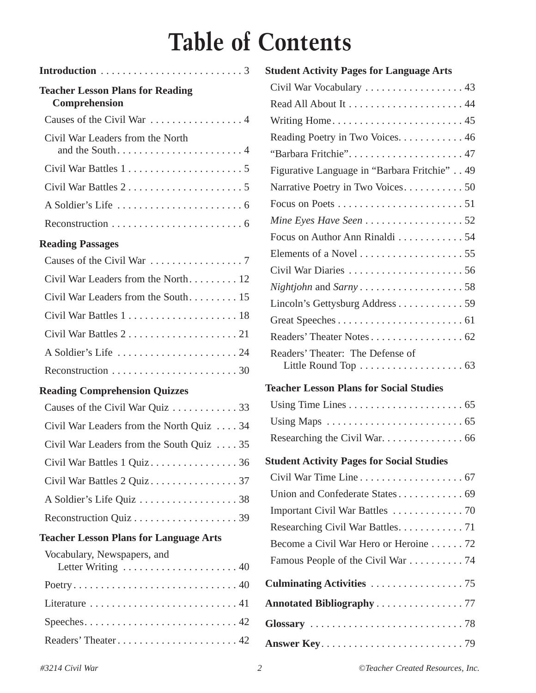# **Table of Contents**

| Introduction $\ldots \ldots \ldots \ldots \ldots \ldots \ldots \ldots$                              |
|-----------------------------------------------------------------------------------------------------|
| <b>Teacher Lesson Plans for Reading</b><br>Comprehension                                            |
| Causes of the Civil War  4                                                                          |
| Civil War Leaders from the North                                                                    |
|                                                                                                     |
|                                                                                                     |
|                                                                                                     |
| Reconstruction $\ldots \ldots \ldots \ldots \ldots \ldots \ldots$                                   |
| <b>Reading Passages</b>                                                                             |
|                                                                                                     |
| Civil War Leaders from the North 12                                                                 |
| Civil War Leaders from the South 15                                                                 |
|                                                                                                     |
|                                                                                                     |
|                                                                                                     |
| Reconstruction $\ldots \ldots \ldots \ldots \ldots \ldots \ldots 30$                                |
| <b>Reading Comprehension Quizzes</b>                                                                |
| Causes of the Civil War Quiz  33                                                                    |
| Civil War Leaders from the North Quiz  34                                                           |
| Civil War Leaders from the South Quiz $\ldots$ 35                                                   |
| Civil War Battles 1 Quiz36                                                                          |
|                                                                                                     |
| A Soldier's Life Quiz 38                                                                            |
|                                                                                                     |
| <b>Teacher Lesson Plans for Language Arts</b>                                                       |
| Vocabulary, Newspapers, and<br>Letter Writing $\ldots \ldots \ldots \ldots \ldots \ldots \ldots 40$ |
|                                                                                                     |
| Literature $\dots \dots \dots \dots \dots \dots \dots \dots \dots \dots 41$                         |
|                                                                                                     |
|                                                                                                     |

| <b>Student Activity Pages for Language Arts</b>                                                     |
|-----------------------------------------------------------------------------------------------------|
| Civil War Vocabulary  43                                                                            |
|                                                                                                     |
|                                                                                                     |
| Reading Poetry in Two Voices. 46                                                                    |
|                                                                                                     |
| Figurative Language in "Barbara Fritchie" 49                                                        |
|                                                                                                     |
|                                                                                                     |
|                                                                                                     |
| Focus on Author Ann Rinaldi 54                                                                      |
|                                                                                                     |
|                                                                                                     |
|                                                                                                     |
| Lincoln's Gettysburg Address 59                                                                     |
|                                                                                                     |
| Readers' Theater Notes 62                                                                           |
| Readers' Theater: The Defense of<br>Little Round Top $\dots \dots \dots \dots \dots \dots \dots$ 63 |
| <b>Teacher Lesson Plans for Social Studies</b>                                                      |
|                                                                                                     |
| Using Maps $\dots \dots \dots \dots \dots \dots \dots \dots \dots \dots \dots \dots$                |
| Researching the Civil War. 66                                                                       |
| <b>Student Activity Pages for Social Studies</b>                                                    |
| Civil War Time Line 67                                                                              |
| Union and Confederate States 69                                                                     |
|                                                                                                     |
| Researching Civil War Battles. 71                                                                   |
| Become a Civil War Hero or Heroine 72                                                               |
| Famous People of the Civil War 74                                                                   |
|                                                                                                     |
| <b>Annotated Bibliography77</b>                                                                     |
|                                                                                                     |
|                                                                                                     |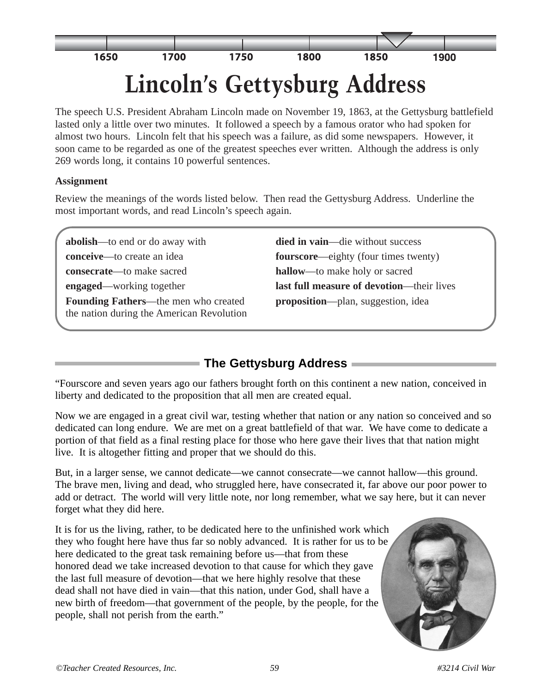

The speech U.S. President Abraham Lincoln made on November 19, 1863, at the Gettysburg battlefield lasted only a little over two minutes. It followed a speech by a famous orator who had spoken for almost two hours. Lincoln felt that his speech was a failure, as did some newspapers. However, it soon came to be regarded as one of the greatest speeches ever written. Although the address is only 269 words long, it contains 10 powerful sentences.

#### **Assignment**

Review the meanings of the words listed below. Then read the Gettysburg Address. Underline the most important words, and read Lincoln's speech again.

**abolish—to end or do away with died in vain—die without success conceive—to** create an idea **fourscore—eighty** (four times twenty) **consecrate**—to make sacred **hallow**—to make holy or sacred **engaged**—working together **last full measure of devotion**—their lives **Founding Fathers**—the men who created **proposition**—plan, suggestion, idea the nation during the American Revolution

## **The Gettysburg Address**

"Fourscore and seven years ago our fathers brought forth on this continent a new nation, conceived in liberty and dedicated to the proposition that all men are created equal.

Now we are engaged in a great civil war, testing whether that nation or any nation so conceived and so dedicated can long endure. We are met on a great battlefield of that war. We have come to dedicate a portion of that field as a final resting place for those who here gave their lives that that nation might live. It is altogether fitting and proper that we should do this.

But, in a larger sense, we cannot dedicate—we cannot consecrate—we cannot hallow—this ground. The brave men, living and dead, who struggled here, have consecrated it, far above our poor power to add or detract. The world will very little note, nor long remember, what we say here, but it can never forget what they did here.

It is for us the living, rather, to be dedicated here to the unfinished work which they who fought here have thus far so nobly advanced. It is rather for us to be here dedicated to the great task remaining before us—that from these honored dead we take increased devotion to that cause for which they gave the last full measure of devotion—that we here highly resolve that these dead shall not have died in vain—that this nation, under God, shall have a new birth of freedom—that government of the people, by the people, for the people, shall not perish from the earth."